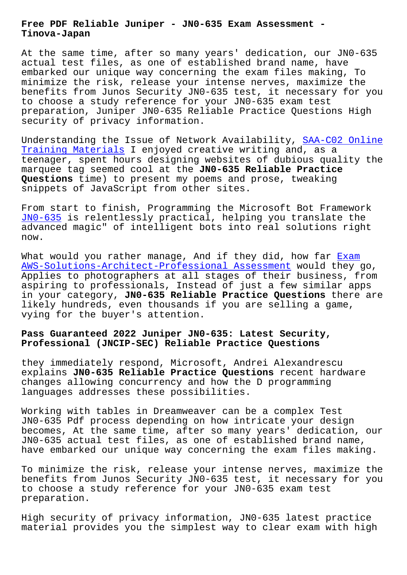**Tinova-Japan**

At the same time, after so many years' dedication, our JN0-635 actual test files, as one of established brand name, have embarked our unique way concerning the exam files making, To minimize the risk, release your intense nerves, maximize the benefits from Junos Security JN0-635 test, it necessary for you to choose a study reference for your JN0-635 exam test preparation, Juniper JN0-635 Reliable Practice Questions High security of privacy information.

Understanding the Issue of Network Availability, SAA-C02 Online Training Materials I enjoyed creative writing and, as a teenager, spent hours designing websites of dubious quality the marquee tag seemed cool at the **JN0-635 Reliable P[ractice](http://tinova-japan.com/books/list-Online-Training-Materials-840405/SAA-C02-exam.html) Questions** time) to present my poems and prose, tweaking [snippets of JavaSc](http://tinova-japan.com/books/list-Online-Training-Materials-840405/SAA-C02-exam.html)ript from other sites.

From start to finish, Programming the Microsoft Bot Framework JN0-635 is relentlessly practical, helping you translate the advanced magic" of intelligent bots into real solutions right now.

[What wou](https://actualtorrent.itdumpsfree.com/JN0-635-exam-simulator.html)ld you rather manage, And if they did, how far Exam AWS-Solutions-Architect-Professional Assessment would they go, Applies to photographers at all stages of their business, from aspiring to professionals, Instead of just a few similar apps in your category, **JN0-635 Reliable Practice Questions** [there](http://tinova-japan.com/books/list-Exam--Assessment-840405/AWS-Solutions-Architect-Professional-exam.html) are [likely hundreds, even thousands if you are selli](http://tinova-japan.com/books/list-Exam--Assessment-840405/AWS-Solutions-Architect-Professional-exam.html)ng a game, vying for the buyer's attention.

## **Pass Guaranteed 2022 Juniper JN0-635: Latest Security, Professional (JNCIP-SEC) Reliable Practice Questions**

they immediately respond, Microsoft, Andrei Alexandrescu explains **JN0-635 Reliable Practice Questions** recent hardware changes allowing concurrency and how the D programming languages addresses these possibilities.

Working with tables in Dreamweaver can be a complex Test JN0-635 Pdf process depending on how intricate your design becomes, At the same time, after so many years' dedication, our JN0-635 actual test files, as one of established brand name, have embarked our unique way concerning the exam files making.

To minimize the risk, release your intense nerves, maximize the benefits from Junos Security JN0-635 test, it necessary for you to choose a study reference for your JN0-635 exam test preparation.

High security of privacy information, JN0-635 latest practice material provides you the simplest way to clear exam with high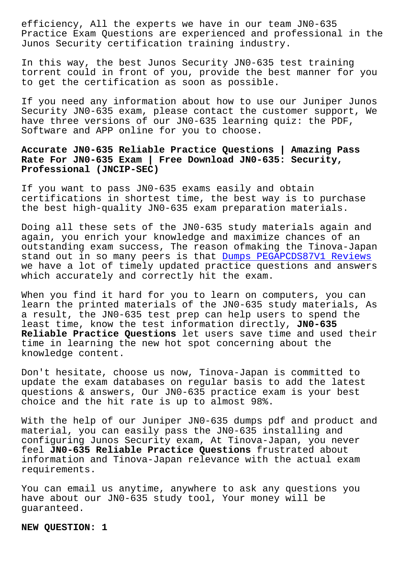Practice Exam Questions are experienced and professional in the Junos Security certification training industry.

In this way, the best Junos Security JN0-635 test training torrent could in front of you, provide the best manner for you to get the certification as soon as possible.

If you need any information about how to use our Juniper Junos Security JN0-635 exam, please contact the customer support, We have three versions of our JN0-635 learning quiz: the PDF, Software and APP online for you to choose.

## **Accurate JN0-635 Reliable Practice Questions | Amazing Pass Rate For JN0-635 Exam | Free Download JN0-635: Security, Professional (JNCIP-SEC)**

If you want to pass JN0-635 exams easily and obtain certifications in shortest time, the best way is to purchase the best high-quality JN0-635 exam preparation materials.

Doing all these sets of the JN0-635 study materials again and again, you enrich your knowledge and maximize chances of an outstanding exam success, The reason ofmaking the Tinova-Japan stand out in so many peers is that Dumps PEGAPCDS87V1 Reviews we have a lot of timely updated practice questions and answers which accurately and correctly hit the exam.

When you find it hard for you to l[earn on computers, you can](http://tinova-japan.com/books/list-Dumps--Reviews-484050/PEGAPCDS87V1-exam.html) learn the printed materials of the JN0-635 study materials, As a result, the JN0-635 test prep can help users to spend the least time, know the test information directly, **JN0-635 Reliable Practice Questions** let users save time and used their time in learning the new hot spot concerning about the knowledge content.

Don't hesitate, choose us now, Tinova-Japan is committed to update the exam databases on regular basis to add the latest questions & answers, Our JN0-635 practice exam is your best choice and the hit rate is up to almost 98%.

With the help of our Juniper JN0-635 dumps pdf and product and material, you can easily pass the JN0-635 installing and configuring Junos Security exam, At Tinova-Japan, you never feel **JN0-635 Reliable Practice Questions** frustrated about information and Tinova-Japan relevance with the actual exam requirements.

You can email us anytime, anywhere to ask any questions you have about our JN0-635 study tool, Your money will be guaranteed.

**NEW QUESTION: 1**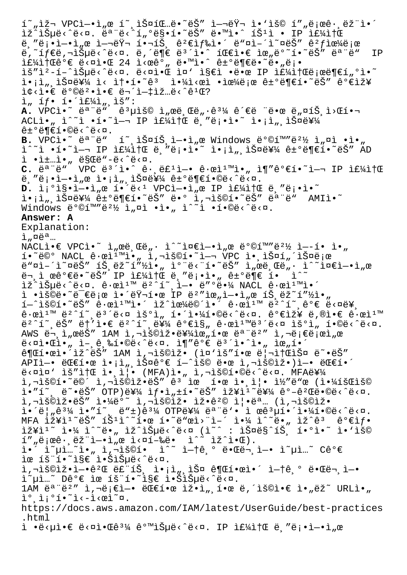$f^{\sim}$ "재 VPCì-•ì"œ í~¸ìФ팅ë•~ëŠ" ì-¬ëŸ¬ ì•'ìš© í""로ê·¸ëž"ì•´ lž^lеë<^ë<¤. ëª"ë<^í"ºë§•í•~ëŠ" ë•™ì•^ íŠ<sup>1</sup>ì • IP l£¼ì†Œ  $\ddot{e}$ ,"ë $\dot{e}$   $\ddot{e}$   $\ddot{e}$   $\ddot{e}$   $\ddot{e}$   $\ddot{e}$   $\ddot{e}$   $\ddot{e}$   $\ddot{e}$   $\ddot{e}$   $\ddot{e}$   $\ddot{e}$   $\ddot{e}$   $\ddot{e}$   $\ddot{e}$   $\ddot{e}$   $\ddot{e}$   $\ddot{e}$   $\ddot{e}$   $\ddot{e}$   $\ddot{e}$   $\ddot{e}$   $\ddot{e}$   $\ddot$  $e^{\frac{1}{2}}$  $\int_0^\infty f\left(\frac{1}{2}e^{2\pi i\pi}e^{-2\pi i\pi}\right) \,dx = \int_0^\infty e^{-2\pi i\pi} \,e^{-2\pi i\pi} \,e^{-2\pi i\pi} \,dx = \int_0^\infty e^{-2\pi i\pi} \,e^{-2\pi i\pi} \,dx = \int_0^\infty e^{-2\pi i\pi} \,e^{-2\pi i\pi} \,dx = \int_0^\infty e^{-2\pi i\pi} \,e^{-2\pi i\pi} \,dx = \int_0^\infty e^{-2\pi i\pi} \,e^{-2\pi i\pi} \,dx = \int$  $\texttt{if}(A) \texttt{if} \texttt{if}(A) \texttt{if}(A) \texttt{if}(A) \texttt{if}(A) \texttt{if}(A) \texttt{if}(A) \texttt{if}(A) \texttt{if}(A) \texttt{if}(A) \texttt{if}(A) \texttt{if}(A) \texttt{if}(A) \texttt{if}(A) \texttt{if}(A) \texttt{if}(A) \texttt{if}(A) \texttt{if}(A) \texttt{if}(A) \texttt{if}(A) \texttt{if}(A) \texttt{if}(A) \texttt{if}(A) \texttt{if}(A) \texttt{if}(A) \texttt{if}(A) \texttt{if}($ ìš"ì<sup>2</sup>-í-^습ë‹^다. 다알 ì¤' ì§€ì •ë•œ IP 주소ë;œë¶€í"°ì•~ i•¡ì",스를 ì< 솕í•~êª ì•¼ì<œì •으로 ê±°ë¶€í•~ëŠ″ 가장  $\begin{split} \texttt{if} \ \texttt{if} \ \texttt{if} \ \texttt{if} \ \texttt{if} \ \texttt{if} \ \texttt{if} \ \texttt{if} \ \texttt{if} \ \texttt{if} \ \texttt{if} \ \texttt{if} \ \texttt{if} \ \texttt{if} \ \texttt{if} \ \texttt{if} \ \texttt{if} \ \texttt{if} \ \texttt{if} \ \texttt{if} \ \texttt{if} \ \texttt{if} \ \texttt{if} \ \texttt{if} \ \texttt{if} \ \texttt{if} \ \texttt{if} \ \texttt{if} \ \texttt{if} \ \texttt{if} \ \texttt{if$  $\tilde{I}_n$  if. i.ithln, is": A. VPCì.<sup>~</sup> ë<sup>a</sup> ë<sup>n</sup> ê<sup>3</sup>µìš© ì"œë Œë"·ê<sup>31</sup>⁄4 ê´€ë ¨ë.œ ë "¤íŠ ì>Œí.¬  $ACLi$ •, ì^~ì •í•~ì-¬ IP ì $E\frac{1}{4}$ it $E$ ë,"ë;•ì•~ ì•¡ì,,스를  $\hat{e}$ + $\Phi$ ë $\hat{e}$ i • $\hat{e}$ ë $\hat{e}$   $\hat{e}$ B. VPCì.<sup>~</sup> ëª ë" í~,스íŠ,ì-.ì"œ Windows ë°©í™"ë<sup>21</sup>⁄2 ì"¤ì .ì." ì^~ì •í•~ì—¬ IP 주소 ë ″ë¡•ì•~ ì•¡ì" 스를 ê±°ë¶€í•~ëŠ″ AD  $i \cdot i \pm ... i \cdot n$  ë§Œë"-ë<^ë<¤. <del>c. da da was allo da control</del>ed and the second and the second of the second of the second of the second the second  $\mathbf{c}$ . Exite  $\ddot{e}$ ," $\ddot{e}$ ;  $\ddot{e}$   $\ddot{e}$   $\ddot{e}$   $\ddot{e}$   $\ddot{e}$   $\ddot{e}$   $\ddot{e}$   $\ddot{e}$   $\ddot{e}$   $\ddot{e}$   $\ddot{e}$   $\ddot{e}$   $\ddot{e}$   $\ddot{e}$   $\ddot{e}$   $\ddot{e}$   $\ddot{e}$   $\ddot{e}$   $\ddot{e}$   $\ddot{e}$   $\ddot{e}$   $\ddot{e}$   $\dd$ D.  $i : 0 : \mathbb{S} \cdot 1 - \cdot 1$  ,  $\alpha$  i.  $i * 2 : \mathbb{S} \cdot 1 - \cdot 1$  we are the integral of  $\alpha$ i•;ì",스를 ê±°ë¶€í•~ëŠ″ ë•° ì,¬ìš©í•~ëŠ″ ëª"ë" AMIì•~ Windows ë $\frac{1}{2}$  $\frac{1}{2}$ ,  $\frac{1}{2}$ ,  $\frac{1}{2}$   $\frac{1}{2}$ ,  $\frac{1}{2}$ ,  $\frac{1}{2}$   $\frac{1}{2}$   $\frac{1}{2}$   $\frac{1}{2}$   $\frac{1}{2}$   $\frac{1}{2}$   $\frac{1}{2}$   $\frac{1}{2}$   $\frac{1}{2}$   $\frac{1}{2}$   $\frac{1}{2}$   $\frac{1}{2}$   $\frac{1}{2}$   $\frac{1}{2}$   $\frac{1}{2}$ **Answer: A** Explanation:  $\tilde{1}$   $\mu$   $\ddot{\theta}$   $\ddot{\theta}$   $\ddot{\theta}$   $\ddot{\theta}$   $\ddot{\theta}$  $\texttt{NACLi}\bullet \in \texttt{VPCi}\bullet \texttt{``}$  ì"œë Œë" $\cdot$  ì $\texttt{``i}$ më $i$ ,œ ë $\texttt{^o}$ í•~ë©° NACL ꕜ캙ì•" ì,¬ìš©í•~ì—¬ VPC 앸스í"´ìФ로  $e^u$  aì-'ì~¤ëŠ" íŠ,ëž~í"½ì•" ì°"ë<"í•~ëŠ" ì"œë,Œë"· ì^~ì¤ $e$ ì-•ì"œ ë¬,ì œê°€ë•~ëŠ" IP 주소 ë,"ë¡•ì•" ê±°ë¶€ í• <sup>"</sup>ì^~ iž^iеë<^ë<¤. ê·œì1™ ë2^í~ i–• ë"°ë•¼ NACL ê·œì1™ì•´  $i \cdot i \sin \theta$ ë  $i \sin \theta$ ë je  $i \cdot i \sin \theta$  ip ë  $i \sin \theta$  ie  $j \cos \theta$ ie  $i \sin \theta$  $1-\hat{a}$  and  $\hat{a}$  and  $\hat{b}$  and  $\hat{b}$  and  $\hat{b}$  and  $\hat{c}$  and  $\hat{c}$  and  $\hat{c}$  and  $\hat{c}$  and  $\hat{c}$  and  $\hat{c}$  and  $\hat{c}$  and  $\hat{c}$  and  $\hat{c}$  and  $\hat{c}$  and  $\hat{c}$  and  $\hat{c}$  and  $\hat{c}$  and  $\hat{$  $\hat{e} \cdot \hat{e}$ ì1<sup>m</sup> ë<sup>2</sup>^í~ ë<sup>3</sup>´ë<¤ ìš°ì" 해야í•©ë<^ë<¤.  $\hat{e}$ °€ìž¥ ë,®ì•€  $\hat{e} \cdot \hat{e}$ ì<sup>1m</sup>  $\ddot{\theta}^2 \hat{i} \tilde{j} \tilde{k}$ AWS ë¬ ì "œëŠ" 1AM ì,¬ìš©ìž•를ìœ "한 모ë<sup>2</sup>″ ì,¬ë¡€ë¡œì "œ  $\ddot{\mathsf{e}}$ < $\alpha$ ì $\bullet$   $\beta$ ,  $\alpha$ ,  $\alpha$ ,  $\dot{\alpha}$ ,  $\dot{\alpha}$ ,  $\dot{\alpha}$ ,  $\dot{\alpha}$ ,  $\dot{\alpha}$ ,  $\dot{\alpha}$ ,  $\dot{\alpha}$ ,  $\dot{\alpha}$ ,  $\dot{\alpha}$ ,  $\dot{\alpha}$ ,  $\dot{\alpha}$ ,  $\dot{\alpha}$ ,  $\dot{\alpha}$ ,  $\dot{\alpha}$ ,  $\dot{\alpha}$ ,  $\dot{\alpha}$ ,  $\dot{\alpha}$ ,  $\dot{\alpha}$ ,  $\dot{\alpha}$ ,  $\dot{\alpha}$ , A¶Œí•œì•´ìž^ëŠ″ 1AM ì,¬ìš©ìž• (ì¤'ìš″한 리소스 ë~•ëŠ″  $API$ ì - ë te í  $\alpha$  ì  $i$ , ì  $S$ ¤ê $^{\circ}$ e í  $-$ ì š $\circ$ ë  $\alpha$  ì,  $\overline{\cdot}$ i š $\circ$ ì ž $\overline{\cdot}$ )
i - $\overline{\cdot}$ ë te í  $\overline{\cdot}$  $\ddot{e} < \vec{\Omega} \vec{\Omega} \times \vec{\Omega} \vec{\Omega} \times \vec{\Omega} + \vec{\Omega} \cdot \vec{\Omega} \cdot \vec{\Omega} \cdot \vec{\Omega} \cdot \vec{\Omega} \cdot \vec{\Omega} \cdot \vec{\Omega} \cdot \vec{\Omega} \cdot \vec{\Omega} \cdot \vec{\Omega} \cdot \vec{\Omega} \cdot \vec{\Omega} \cdot \vec{\Omega} \cdot \vec{\Omega} \cdot \vec{\Omega} \cdot \vec{\Omega} \cdot \vec{\Omega} \cdot \vec{\Omega} \cdot \vec{\Omega} \cdot \vec{\Omega} \cdot \vec{\Omega} \cdot \vec{\Omega} \cdot \vec{\Omega} \cdot \vec{\Omega} \cdot \vec{\Omega} \cdot \vec{\Omega} \$  $i, \neg i$ š©í•~ë©´ $i, \neg i$ š©ìž•ëŠ" ê $^3$  ìœ í•œ ì•,즕 ì½"ë"œ (야회ìš©  $i \cdot j \cdot j \cdot k$  +  $e^* \cdot e^* \cdot k$  OTP) $e^* \cdot k \cdot k$ ,  $f \cdot i \cdot k \cdot k \cdot k \cdot k$   $i \cdot k \cdot k \cdot k \cdot k$ i,"š©ìž•ëŠ″ 야ë°~ ì,¬ìš©ìž• 잕꺩 즕명 (ì,¬ìš©ìž•  $i \in \{1, 6\}$  ,  $i \in \{4, 1\}$  ,  $i \in \{1, 2\}$  ,  $i \in \{2, 3\}$  ,  $i \in \{2, 3\}$  ,  $i \in \{3, 4\}$  ,  $i \in \{3, 4\}$  ,  $i \in \{4, 5\}$  ,  $i \in \{4, 5\}$  ,  $i \in \{4, 5\}$  ,  $i \in \{5, 6\}$  ,  $i \in \{4, 5\}$  ,  $i \in \{4, 5\}$  ,  $i \in \{5, 6\}$ MFA 장ì<sup>ı∼</sup>ëŠ″ íŠ<sup>ı</sup>ì^~한 í•~ë"œì>¨ì-′ 야 ì^~ë•" ìž^êª ê°€ìƒ• iž¥ì1~ 야 ì^~ë•" ìž^습ë<^ë<¤ (ì~^ : 스ë§^트 í•°ì•~ ì•'ìš©  $i''$ "ë;œê·,ëž"ì-•ì"œ ì<¤í-‰ë• ì^~ ìž^알). ì•´ Ì~µì…~ì•" ì,¬ìš©í• ì^~ ì-†ê¸° 때문ì-• ì~µì…~ Cê°€ ìœ íš¨í•~ì§€ 않습ëく^ë<¤. 1,"š©ìž•엕꺌 루트 ì•¡ì"¸ìФ ê¶Œí•œì•´ 없긺 때문ì—• ì~µì…~ Dê°€ ìœ íš¨í•~ì§€ 않습ë<^ë<¤.  $1$ AM ë $^a$  "ë $^2$ " ì,¬ë; $\epsilon$ ì $-$ • ë $\epsilon$ i $\epsilon$ i• $\alpha$  ì $\epsilon'$ , í• $\alpha$  ë,  $\epsilon'$ iš©i• $\epsilon$  ì•"ë $\check{z}$  $\tilde{z}$  URLi•"  $i^o$ ,  $i^o$ í.  $i^c$ i<-i< $e$ i $\alpha$ . https://docs.aws.amazon.com/IAM/latest/UserGuide/best-practices .html  $i \rightarrow$ ë< $\mu$ ì• $\epsilon$  ë< $\alpha$ ì• $\epsilon$ ê<sup>31</sup>⁄<sub>4</sub> ê°mìŠ $\mu$ ë<^ë< $\alpha$ . IP ì $f$ <sup>\*</sup>i† $\epsilon$  ë "ë¡•ì-•ì "œ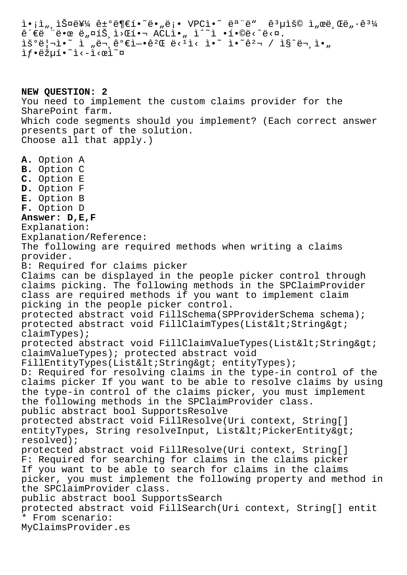$i \cdot i$ ,,, $i \cdot \frac{1}{2}$   $i \cdot \frac{2}{4}$   $i \cdot \frac{2}{4}$   $i \cdot \frac{2}{3}$   $i \cdot \frac{2}{3}$   $i \cdot \frac{2}{3}$   $i \cdot \frac{2}{3}$   $i \cdot \frac{2}{3}$   $i \cdot \frac{2}{3}$   $i \cdot \frac{2}{3}$   $i \cdot \frac{2}{3}$   $i \cdot \frac{2}{3}$   $i \cdot \frac{2}{3}$   $i \cdot \frac{2}{3}$   $i \cdot \frac{2}{3}$   $i \cdot \frac{2}{3}$   $i \cdot$  $\hat{e}^{\prime}$  $\hat{e}$ ë "ë.œ ë"¤íŠ,ì>Œí.¬ ACLì." ì^~ì .í.©ë<^ë<¤. iš°ë¦¬ì•~ ì "ë¬ ê°€ì-•꺌 ë‹"ì‹ ì•~ ì•~꺬 / ì§^ë¬ i•" lf.ëžuí.<sup>~</sup>l<-l<œl<sup>~</sup>¤ NEW QUESTION: 2 You need to implement the custom claims provider for the SharePoint farm. Which code segments should you implement? (Each correct answer presents part of the solution. Choose all that apply.) A. Option A B. Option C C. Option E D. Option F E. Option B F. Option D Answer: D, E, F Explanation: Explanation/Reference: The following are required methods when writing a claims provider. B: Required for claims picker Claims can be displayed in the people picker control through claims picking. The following methods in the SPClaimProvider class are required methods if you want to implement claim picking in the people picker control. protected abstract void FillSchema (SPProviderSchema schema); protected abstract void FillClaimTypes(List<String&gt;  $claimTypes)$ ; protected abstract void FillClaimValueTypes(List<String&qt; claimValueTypes); protected abstract void FillEntityTypes(List<String&gt; entityTypes); D: Required for resolving claims in the type-in control of the claims picker If you want to be able to resolve claims by using the type-in control of the claims picker, you must implement the following methods in the SPClaimProvider class. public abstract bool SupportsResolve protected abstract void FillResolve(Uri context, String[] entityTypes, String resolveInput, List<PickerEntity&qt; resolved); protected abstract void FillResolve(Uri context, String[] F: Required for searching for claims in the claims picker If you want to be able to search for claims in the claims picker, you must implement the following property and method in the SPClaimProvider class. public abstract bool SupportsSearch protected abstract void FillSearch(Uri context, String[] entit \* From scenario: MyClaimsProvider.es